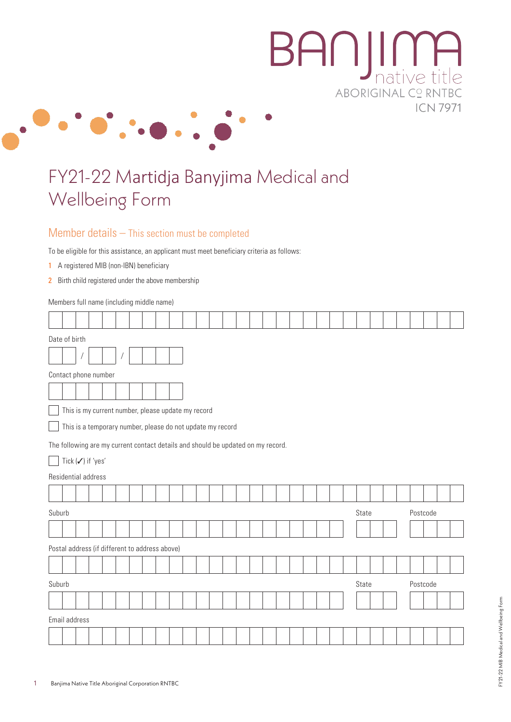# **BANJIME** ABORIGINAL C° RNTBC **ICN 7971**



# FY21-22 Martidja Banyjima Medical and Wellbeing Form

#### Member details – This section must be completed

To be eligible for this assistance, an applicant must meet beneficiary criteria as follows:

- 1 A registered MIB (non-IBN) beneficiary
- 2 Birth child registered under the above membership

Τ Τ Т Τ Τ Τ

Members full name (including middle name) Т

 $\sqrt{2}$ T  $\top$  $\top$  $\top$ 

|        | Date of birth                                                                    |  |  |                                                    |  |  |  |  |  |  |  |  |  |  |  |  |       |  |          |  |  |
|--------|----------------------------------------------------------------------------------|--|--|----------------------------------------------------|--|--|--|--|--|--|--|--|--|--|--|--|-------|--|----------|--|--|
|        |                                                                                  |  |  |                                                    |  |  |  |  |  |  |  |  |  |  |  |  |       |  |          |  |  |
|        | Contact phone number                                                             |  |  |                                                    |  |  |  |  |  |  |  |  |  |  |  |  |       |  |          |  |  |
|        |                                                                                  |  |  |                                                    |  |  |  |  |  |  |  |  |  |  |  |  |       |  |          |  |  |
|        |                                                                                  |  |  | This is my current number, please update my record |  |  |  |  |  |  |  |  |  |  |  |  |       |  |          |  |  |
|        | This is a temporary number, please do not update my record                       |  |  |                                                    |  |  |  |  |  |  |  |  |  |  |  |  |       |  |          |  |  |
|        | The following are my current contact details and should be updated on my record. |  |  |                                                    |  |  |  |  |  |  |  |  |  |  |  |  |       |  |          |  |  |
|        | Tick (√) if 'yes'                                                                |  |  |                                                    |  |  |  |  |  |  |  |  |  |  |  |  |       |  |          |  |  |
|        | Residential address                                                              |  |  |                                                    |  |  |  |  |  |  |  |  |  |  |  |  |       |  |          |  |  |
|        |                                                                                  |  |  |                                                    |  |  |  |  |  |  |  |  |  |  |  |  |       |  |          |  |  |
| Suburb |                                                                                  |  |  |                                                    |  |  |  |  |  |  |  |  |  |  |  |  | State |  | Postcode |  |  |
|        |                                                                                  |  |  |                                                    |  |  |  |  |  |  |  |  |  |  |  |  |       |  |          |  |  |
|        |                                                                                  |  |  | Postal address (if different to address above)     |  |  |  |  |  |  |  |  |  |  |  |  |       |  |          |  |  |
|        |                                                                                  |  |  |                                                    |  |  |  |  |  |  |  |  |  |  |  |  |       |  |          |  |  |
| Suburb |                                                                                  |  |  |                                                    |  |  |  |  |  |  |  |  |  |  |  |  | State |  | Postcode |  |  |
|        |                                                                                  |  |  |                                                    |  |  |  |  |  |  |  |  |  |  |  |  |       |  |          |  |  |
|        | Email address                                                                    |  |  |                                                    |  |  |  |  |  |  |  |  |  |  |  |  |       |  |          |  |  |
|        |                                                                                  |  |  |                                                    |  |  |  |  |  |  |  |  |  |  |  |  |       |  |          |  |  |

┑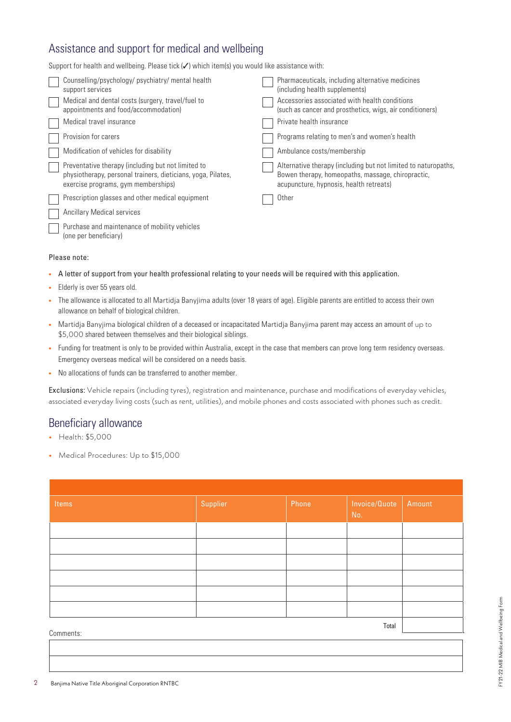# Assistance and support for medical and wellbeing

Support for health and wellbeing. Please tick  $(\checkmark)$  which item(s) you would like assistance with:

| Counselling/psychology/psychiatry/mental health<br>support services                                                                                       | Pharmaceuticals, including alternative medicines<br>(including health supplements)                                                                             |
|-----------------------------------------------------------------------------------------------------------------------------------------------------------|----------------------------------------------------------------------------------------------------------------------------------------------------------------|
| Medical and dental costs (surgery, travel/fuel to<br>appointments and food/accommodation)                                                                 | Accessories associated with health conditions<br>(such as cancer and prosthetics, wigs, air conditioners)                                                      |
| Medical travel insurance                                                                                                                                  | Private health insurance                                                                                                                                       |
| Provision for carers                                                                                                                                      | Programs relating to men's and women's health                                                                                                                  |
| Modification of vehicles for disability                                                                                                                   | Ambulance costs/membership                                                                                                                                     |
| Preventative therapy (including but not limited to<br>physiotherapy, personal trainers, dieticians, yoga, Pilates,<br>exercise programs, gym memberships) | Alternative therapy (including but not limited to naturopaths,<br>Bowen therapy, homeopaths, massage, chiropractic,<br>acupuncture, hypnosis, health retreats) |
| Prescription glasses and other medical equipment                                                                                                          | Other                                                                                                                                                          |
| Ancillary Medical services                                                                                                                                |                                                                                                                                                                |
| Purchase and maintenance of mobility vehicles<br>(one per beneficiary)                                                                                    |                                                                                                                                                                |

#### Please note:

- **•** A letter of support from your health professional relating to your needs will be required with this application.
- **•** Elderly is over 55 years old.
- **•** The allowance is allocated to all Martidja Banyjima adults (over 18 years of age). Eligible parents are entitled to access their own allowance on behalf of biological children.
- **•** Martidja Banyjima biological children of a deceased or incapacitated Martidja Banyjima parent may access an amount of up to \$5,000 shared between themselves and their biological siblings.
- Funding for treatment is only to be provided within Australia, except in the case that members can prove long term residency overseas. Emergency overseas medical will be considered on a needs basis.
- **•** No allocations of funds can be transferred to another member.

Exclusions: Vehicle repairs (including tyres), registration and maintenance, purchase and modifications of everyday vehicles, associated everyday living costs (such as rent, utilities), and mobile phones and costs associated with phones such as credit.

#### Beneficiary allowance

- **•** Health: \$5,000
- **•** Medical Procedures: Up to \$15,000

|                    | Phone | Invoice/Quote<br>No. | Amount |  |  |  |  |  |  |
|--------------------|-------|----------------------|--------|--|--|--|--|--|--|
|                    |       |                      |        |  |  |  |  |  |  |
|                    |       |                      |        |  |  |  |  |  |  |
|                    |       |                      |        |  |  |  |  |  |  |
|                    |       |                      |        |  |  |  |  |  |  |
|                    |       |                      |        |  |  |  |  |  |  |
|                    |       |                      |        |  |  |  |  |  |  |
| Total<br>Comments: |       |                      |        |  |  |  |  |  |  |
|                    |       |                      |        |  |  |  |  |  |  |